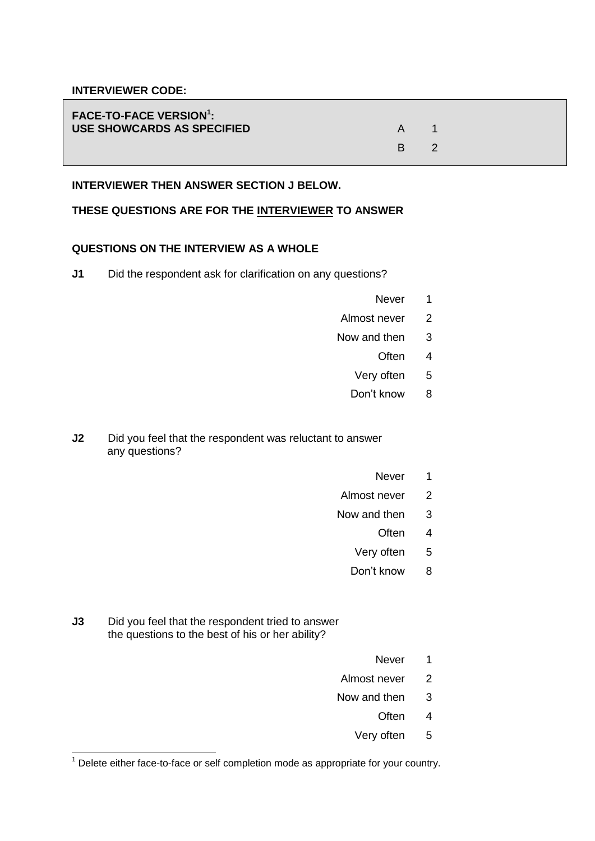#### **INTERVIEWER CODE:**

| <b>FACE-TO-FACE VERSION<sup>1</sup>:</b><br>USE SHOWCARDS AS SPECIFIED |    |  |
|------------------------------------------------------------------------|----|--|
|                                                                        | R. |  |

### **INTERVIEWER THEN ANSWER SECTION J BELOW.**

#### **THESE QUESTIONS ARE FOR THE INTERVIEWER TO ANSWER**

## **QUESTIONS ON THE INTERVIEW AS A WHOLE**

**J1** Did the respondent ask for clarification on any questions?

- Never<sub>1</sub>
- Almost never 2
- Now and then 3
	- Often 4
	- Very often 5
	- Don't know 8

**J2** Did you feel that the respondent was reluctant to answer any questions?

- Never<sub>1</sub>
- Almost never 2
- Now and then 3
	- Often 4
	- Very often 5
	- Don't know 8
- **J3** Did you feel that the respondent tried to answer the questions to the best of his or her ability?

<u>.</u>

- Never<sub>1</sub>
- Almost never 2
- Now and then 3
	- Often 4
	- Very often 5

 $1$  Delete either face-to-face or self completion mode as appropriate for your country.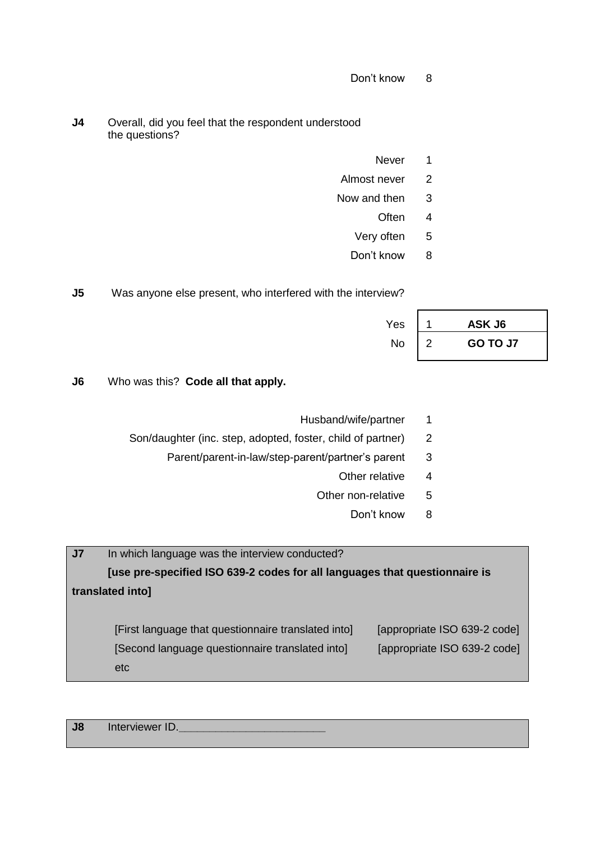- Don't know 8
- **J4** Overall, did you feel that the respondent understood the questions?
	- Never<sub>1</sub>
	- Almost never 2
	- Now and then 3
		- Often 4
		- Very often 5
		- Don't know 8

**J5** Was anyone else present, who interfered with the interview?

| Yes | ASK J6   |
|-----|----------|
| No  | GO TO J7 |

**J6** Who was this? **Code all that apply.**

- Husband/wife/partner 1
- Son/daughter (inc. step, adopted, foster, child of partner) 2
	- Parent/parent-in-law/step-parent/partner's parent 3
		- Other relative 4
		- Other non-relative 5
			- Don't know 8

**J7** In which language was the interview conducted? **[use pre-specified ISO 639-2 codes for all languages that questionnaire is translated into]** [First language that questionnaire translated into] [appropriate ISO 639-2 code] [Second language questionnaire translated into] [appropriate ISO 639-2 code] etc

| J8 | Interviewer ID. |
|----|-----------------|
|    |                 |